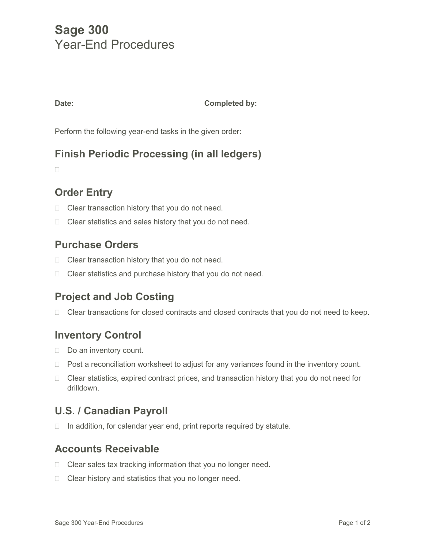# **Sage 300** Year-End Procedures

#### **Date: Completed by:**

Perform the following year-end tasks in the given order:

## **Finish Periodic Processing (in all ledgers)**

 $\Box$ 

## **Order Entry**

- $\Box$  Clear transaction history that you do not need.
- $\Box$  Clear statistics and sales history that you do not need.

#### **Purchase Orders**

- $\Box$  Clear transaction history that you do not need.
- □ Clear statistics and purchase history that you do not need.

## **Project and Job Costing**

 $\Box$  Clear transactions for closed contracts and closed contracts that you do not need to keep.

## **Inventory Control**

- $\Box$  Do an inventory count.
- $\Box$  Post a reconciliation worksheet to adjust for any variances found in the inventory count.
- $\Box$  Clear statistics, expired contract prices, and transaction history that you do not need for drilldown.

## **U.S. / Canadian Payroll**

 $\Box$  In addition, for calendar year end, print reports required by statute.

#### **Accounts Receivable**

- $\Box$  Clear sales tax tracking information that you no longer need.
- $\Box$  Clear history and statistics that you no longer need.